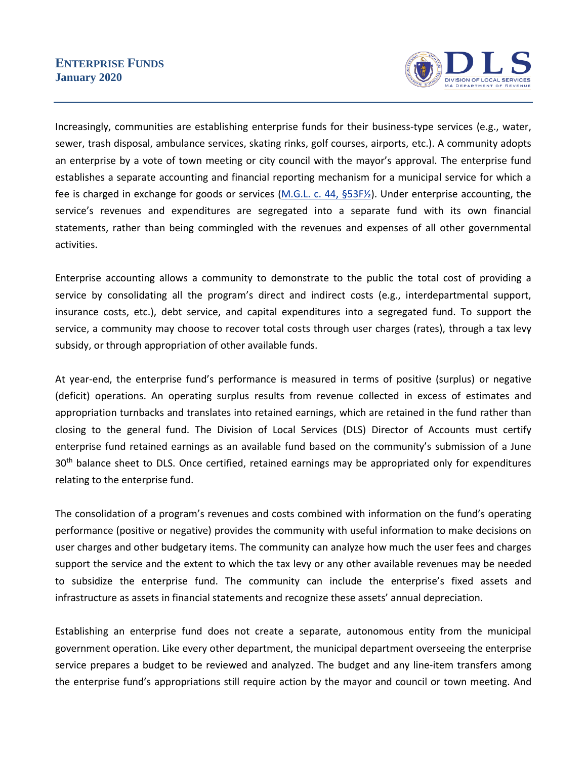## **ENTERPRISE FUNDS January 2020**



Increasingly, communities are establishing enterprise funds for their business-type services (e.g., water, sewer, trash disposal, ambulance services, skating rinks, golf courses, airports, etc.). A community adopts an enterprise by a vote of town meeting or city council with the mayor's approval. The enterprise fund establishes a separate accounting and financial reporting mechanism for a municipal service for which a fee is charged in exchange for goods or services (M.G.L. [c. 44, §53F½\)](https://malegislature.gov/Laws/GeneralLaws/PartI/TitleVII/Chapter44/Section53F1~2). Under enterprise accounting, the service's revenues and expenditures are segregated into a separate fund with its own financial statements, rather than being commingled with the revenues and expenses of all other governmental activities.

Enterprise accounting allows a community to demonstrate to the public the total cost of providing a service by consolidating all the program's direct and indirect costs (e.g., interdepartmental support, insurance costs, etc.), debt service, and capital expenditures into a segregated fund. To support the service, a community may choose to recover total costs through user charges (rates), through a tax levy subsidy, or through appropriation of other available funds.

At year-end, the enterprise fund's performance is measured in terms of positive (surplus) or negative (deficit) operations. An operating surplus results from revenue collected in excess of estimates and appropriation turnbacks and translates into retained earnings, which are retained in the fund rather than closing to the general fund. The Division of Local Services (DLS) Director of Accounts must certify enterprise fund retained earnings as an available fund based on the community's submission of a June 30<sup>th</sup> balance sheet to DLS. Once certified, retained earnings may be appropriated only for expenditures relating to the enterprise fund.

The consolidation of a program's revenues and costs combined with information on the fund's operating performance (positive or negative) provides the community with useful information to make decisions on user charges and other budgetary items. The community can analyze how much the user fees and charges support the service and the extent to which the tax levy or any other available revenues may be needed to subsidize the enterprise fund. The community can include the enterprise's fixed assets and infrastructure as assets in financial statements and recognize these assets' annual depreciation.

Establishing an enterprise fund does not create a separate, autonomous entity from the municipal government operation. Like every other department, the municipal department overseeing the enterprise service prepares a budget to be reviewed and analyzed. The budget and any line-item transfers among the enterprise fund's appropriations still require action by the mayor and council or town meeting. And